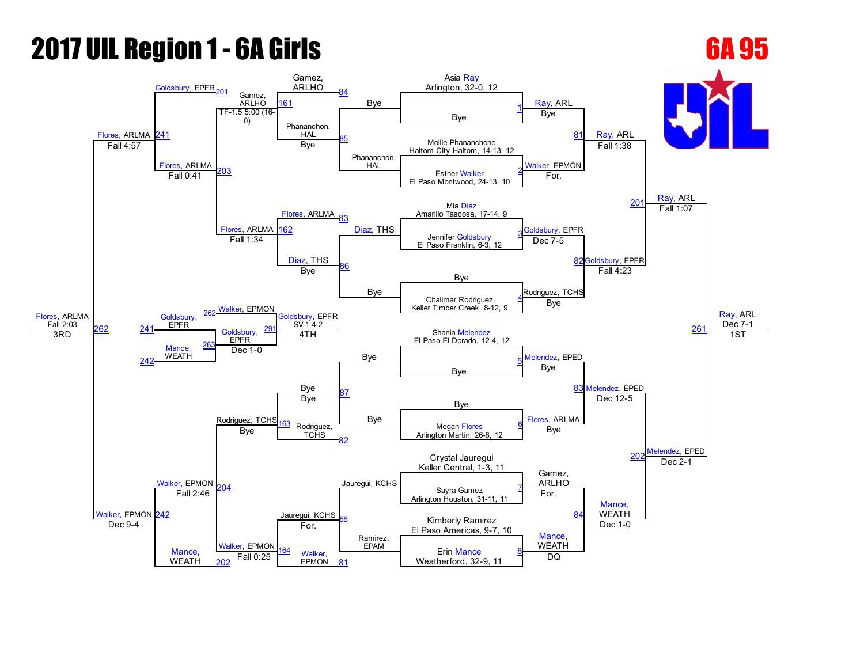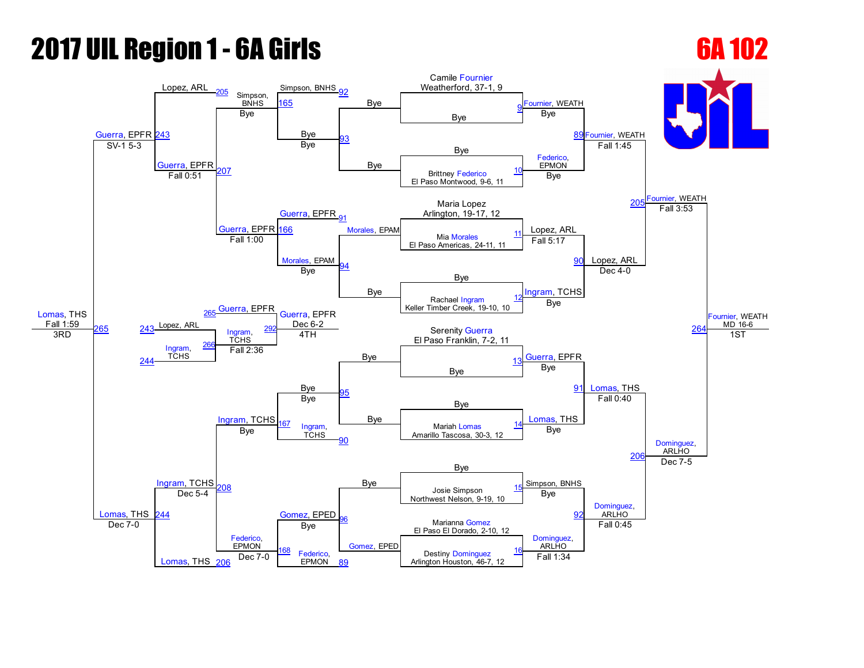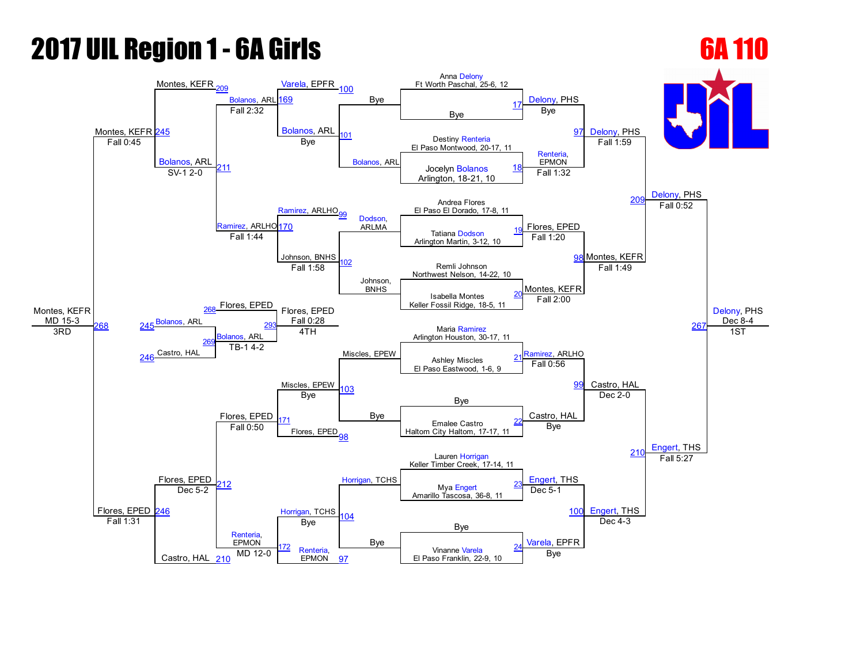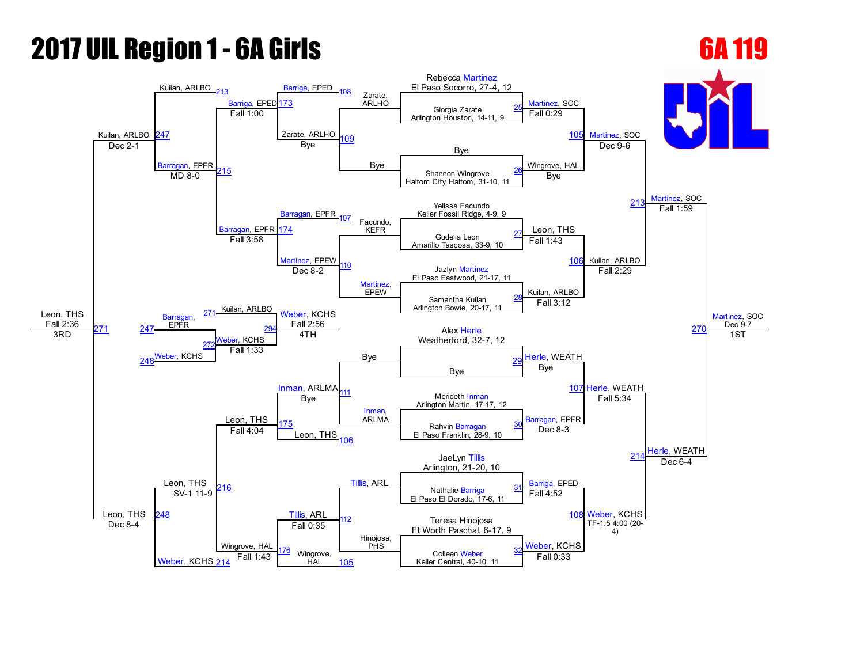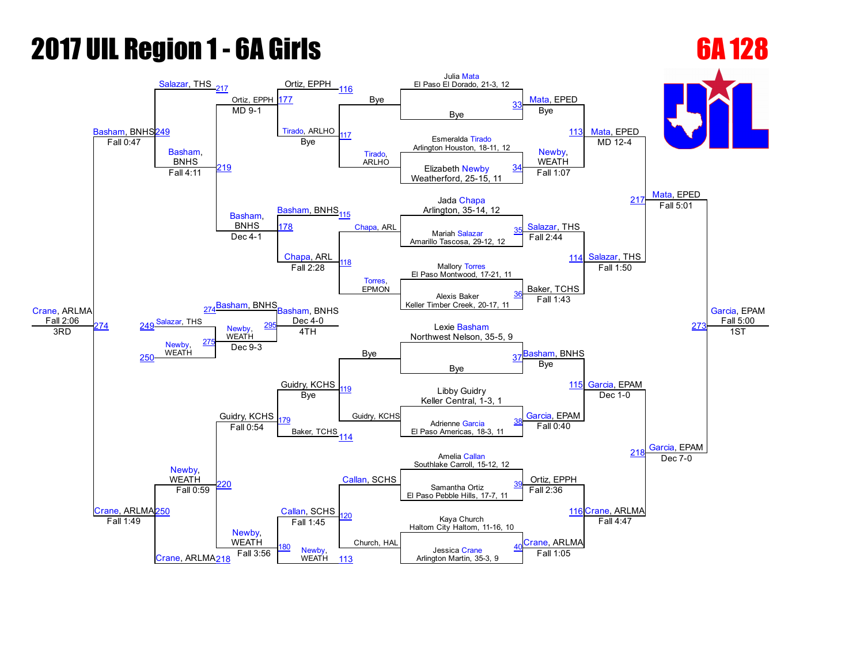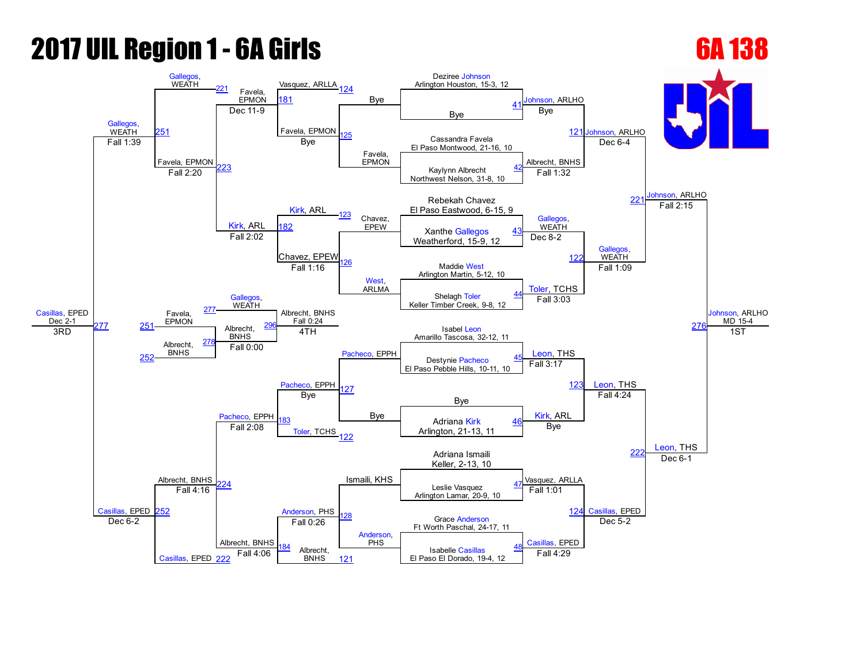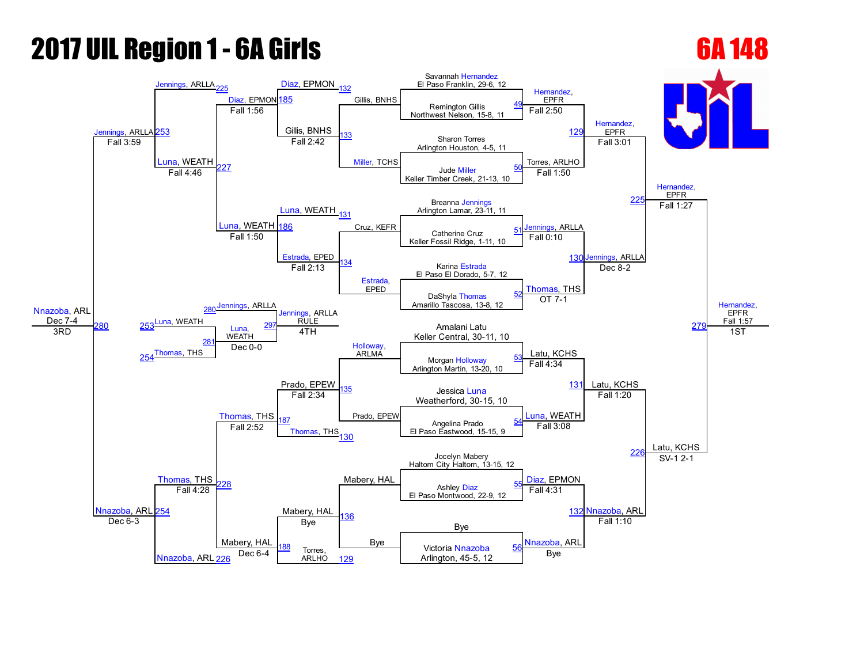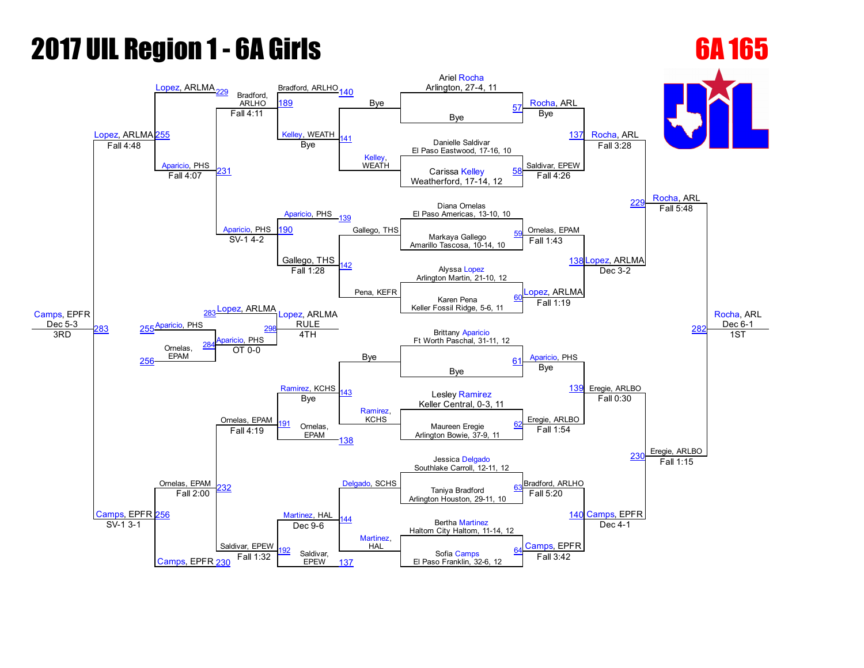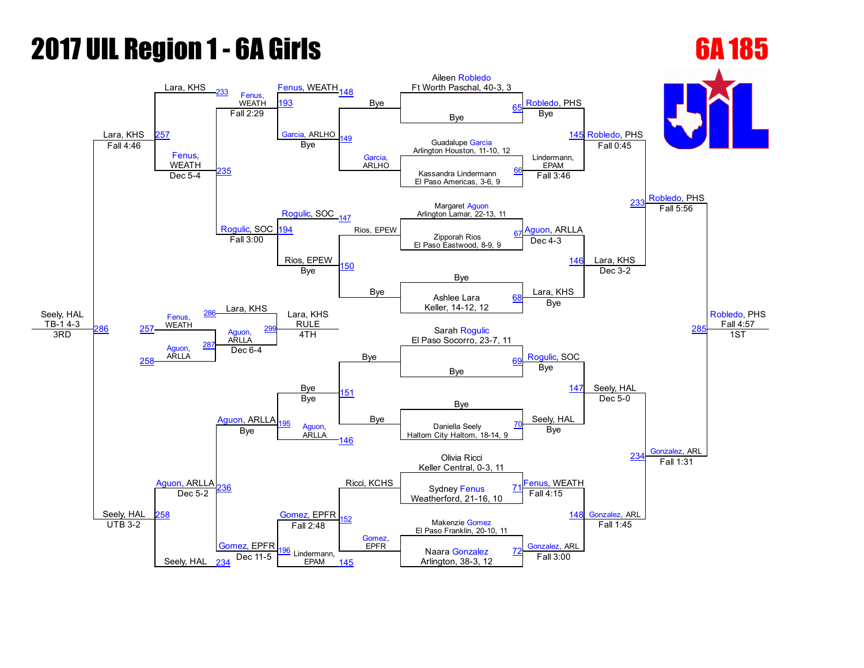